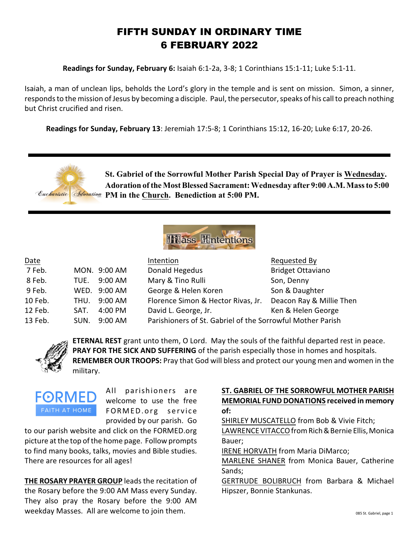## FIFTH SUNDAY IN ORDINARY TIME 6 FEBRUARY 2022

**Readings for Sunday, February 6:** Isaiah 6:1-2a, 3-8; 1 Corinthians 15:1-11; Luke 5:1-11.

Isaiah, a man of unclean lips, beholds the Lord's glory in the temple and is sent on mission. Simon, a sinner, responds to the mission of Jesus by becoming a disciple. Paul, the persecutor, speaks of his call to preach nothing but Christ crucified and risen.

**Readings for Sunday, February 13**: Jeremiah 17:5-8; 1 Corinthians 15:12, 16-20; Luke 6:17, 20-26.





| Date    |      |              | Intention                                                  | Requested By             |
|---------|------|--------------|------------------------------------------------------------|--------------------------|
| 7 Feb.  |      | MON. 9:00 AM | Donald Hegedus                                             | <b>Bridget Ottaviano</b> |
| 8 Feb.  | TUE. | $9:00$ AM    | Mary & Tino Rulli                                          | Son, Denny               |
| 9 Feb.  |      | WED. 9:00 AM | George & Helen Koren                                       | Son & Daughter           |
| 10 Feb. | THU. | $9:00$ AM    | Florence Simon & Hector Rivas, Jr.                         | Deacon Ray & Millie Then |
| 12 Feb. | SAT. | 4:00 PM      | David L. George, Jr.                                       | Ken & Helen George       |
| 13 Feb. | SUN. | 9:00 AM      | Parishioners of St. Gabriel of the Sorrowful Mother Parish |                          |



**ETERNAL REST** grant unto them, O Lord. May the souls of the faithful departed rest in peace. **PRAY FOR THE SICK AND SUFFERING** of the parish especially those in homes and hospitals. **REMEMBER OUR TROOPS:** Pray that God will bless and protect our young men and women in the military.



All parishioners are welcome to use the free FORMED.org service provided by our parish. Go

to our parish website and click on the FORMED.org picture at the top of the home page. Follow prompts to find many books, talks, movies and Bible studies. There are resources for all ages!

**THE ROSARY PRAYER GROUP** leads the recitation of the Rosary before the 9:00 AM Mass every Sunday. They also pray the Rosary before the 9:00 AM weekday Masses. All are welcome to join them.

## **ST. GABRIEL OF THE SORROWFUL MOTHER PARISH MEMORIAL FUND DONATIONS received in memory of:**

SHIRLEY MUSCATELLO from Bob & Vivie Fitch;

LAWRENCE VITACCO from Rich & Bernie Ellis, Monica Bauer;

IRENE HORVATH from Maria DiMarco;

MARLENE SHANER from Monica Bauer, Catherine Sands;

GERTRUDE BOLIBRUCH from Barbara & Michael Hipszer, Bonnie Stankunas.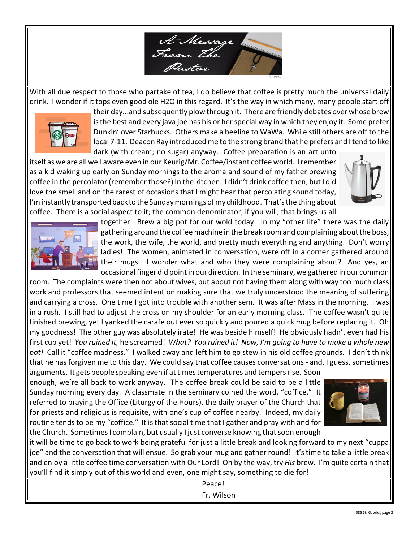

With all due respect to those who partake of tea, I do believe that coffee is pretty much the universal daily drink. I wonder if it tops even good ole H2O in this regard. It's the way in which many, many people start off



their day...and subsequently plow through it. There are friendly debates over whose brew is the best and every java joe has his or her special way in which they enjoy it. Some prefer Dunkin' over Starbucks. Others make a beeline to WaWa. While still others are off to the local 7-11. Deacon Ray introduced me to the strong brand that he prefers and I tend to like dark (with cream; no sugar) anyway. Coffee preparation is an art unto

itself as we are all well aware even in our Keurig/Mr. Coffee/instant coffee world. I remember as a kid waking up early on Sunday mornings to the aroma and sound of my father brewing coffee in the percolator (remember those?) In the kitchen. I didn't drink coffee then, but I did love the smell and on the rarest of occasions that I might hear that percolating sound today, I'm instantly transported back to the Sunday mornings of my childhood. That's the thing about coffee. There is a social aspect to it; the common denominator, if you will, that brings us all





together. Brew a big pot for our wold today. In my "other life" there was the daily gathering around the coffee machine in the break room and complaining aboutthe boss, the work, the wife, the world, and pretty much everything and anything. Don't worry ladies! The women, animated in conversation, were off in a corner gathered around their mugs. I wonder what and who they were complaining about? And yes, an occasional finger did point in our direction. In the seminary, we gathered in our common

room. The complaints were then not about wives, but about not having them along with way too much class work and professors that seemed intent on making sure that we truly understood the meaning of suffering and carrying a cross. One time I got into trouble with another sem. It was after Mass in the morning. I was in a rush. I still had to adjust the cross on my shoulder for an early morning class. The coffee wasn't quite finished brewing, yet I yanked the carafe out ever so quickly and poured a quick mug before replacing it. Oh my goodness! The other guy was absolutely irate! He was beside himself! He obviously hadn't even had his first cup yet! *You ruined it,* he screamed! *What? You ruined it! Now, I'm going to have to make a whole new pot!* Call it "coffee madness." I walked away and left him to go stew in his old coffee grounds. I don't think that he has forgiven me to this day. We could say that coffee causes conversations - and, I guess, sometimes

arguments. It gets people speaking even if at times temperatures and tempers rise. Soon enough, we're all back to work anyway. The coffee break could be said to be a little Sunday morning every day. A classmate in the seminary coined the word, "coffice." It referred to praying the Office (Liturgy of the Hours), the daily prayer of the Church that for priests and religious is requisite, with one's cup of coffee nearby. Indeed, my daily routine tends to be my "coffice." It is that social time that I gather and pray with and for the Church. Sometimes I complain, but usually I just converse knowing that soon enough



it will be time to go back to work being grateful for just a little break and looking forward to my next "cuppa joe" and the conversation that will ensue. So grab your mug and gather round! It's time to take a little break and enjoy a little coffee time conversation with Our Lord! Oh by the way, try *His* brew. I'm quite certain that you'll find it simply out of this world and even, one might say, something to die for!

Peace!

Fr. Wilson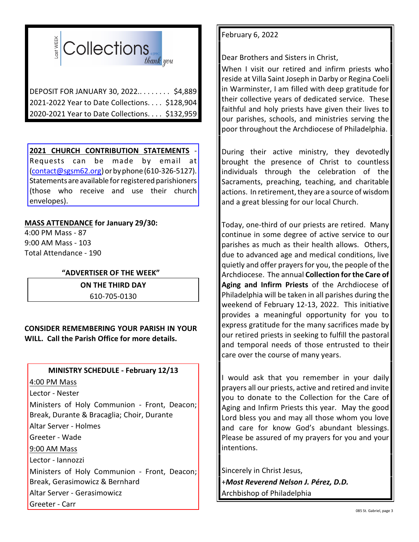

DEPOSIT FOR JANUARY 30, 2022.. . . . . . . . \$4,889 2021-2022 Year to Date Collections. . . . \$128,904 2020-2021 Year to Date Collections. . . . \$132,959

## **2021 CHURCH CONTRIBUTION STATEMENTS** -

Requests can be made by email at [\(contact@sgsm62.org](mailto:contact@sgsm62.org)) orbyphone (610-326-5127). Statementsare available forregistered parishioners (those who receive and use their church envelopes).

## **MASS ATTENDANCE for January 29/30:**

4:00 PM Mass - 87 9:00 AM Mass - 103 Total Attendance - 190

## **"ADVERTISER OF THE WEEK"**

**ON THE THIRD DAY** 610-705-0130

**CONSIDER REMEMBERING YOUR PARISH IN YOUR WILL. Call the Parish Office for more details.**

# **MINISTRY SCHEDULE - February 12/13**

4:00 PM Mass

Lector - Nester

Ministers of Holy Communion - Front, Deacon; Break, Durante & Bracaglia; Choir, Durante Altar Server - Holmes

Greeter - Wade

9:00 AM Mass

Lector - Iannozzi

Ministers of Holy Communion - Front, Deacon; Break, Gerasimowicz & Bernhard

Altar Server - Gerasimowicz

Greeter - Carr

## February 6, 2022

Dear Brothers and Sisters in Christ,

When I visit our retired and infirm priests who reside at Villa Saint Joseph in Darby or Regina Coeli in Warminster, I am filled with deep gratitude for their collective years of dedicated service. These faithful and holy priests have given their lives to our parishes, schools, and ministries serving the poor throughout the Archdiocese of Philadelphia.

During their active ministry, they devotedly brought the presence of Christ to countless individuals through the celebration of the Sacraments, preaching, teaching, and charitable actions. In retirement, they are a source of wisdom and a great blessing for our local Church.

Today, one-third of our priests are retired. Many continue in some degree of active service to our parishes as much as their health allows. Others, due to advanced age and medical conditions, live quietly and offer prayers for you, the people of the Archdiocese. The annual **Collection for the Care of Aging and Infirm Priests** of the Archdiocese of Philadelphia will be taken in all parishes during the weekend of February 12-13, 2022. This initiative provides a meaningful opportunity for you to express gratitude for the many sacrifices made by our retired priests in seeking to fulfill the pastoral and temporal needs of those entrusted to their care over the course of many years.

I would ask that you remember in your daily prayers all our priests, active and retired and invite you to donate to the Collection for the Care of Aging and Infirm Priests this year. May the good Lord bless you and may all those whom you love and care for know God's abundant blessings. Please be assured of my prayers for you and your intentions.

Sincerely in Christ Jesus, +*Most Reverend Nelson J. Pérez, D.D.* Archbishop of Philadelphia